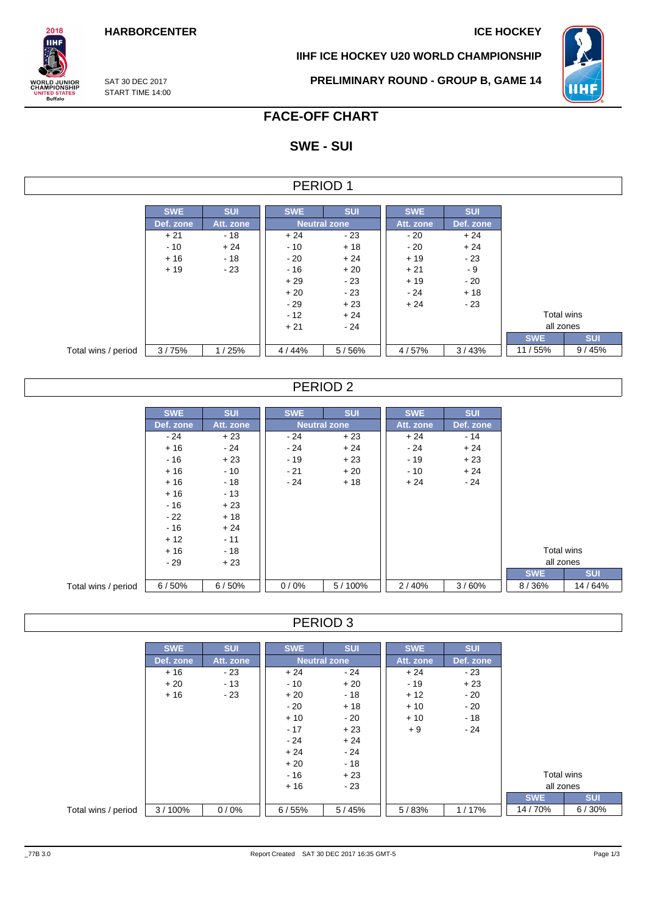**IIHF ICE HOCKEY U20 WORLD CHAMPIONSHIP**



SAT 30 DEC 2017 START TIME 14:00

 $2018$ **IIHF** 

**ORLD JUNIOR**<br>HAMPIONSHIP

**INITED STATES**<br>Buffalo

## **PRELIMINARY ROUND - GROUP B, GAME 14**

# **FACE-OFF CHART**

# **SWE - SUI**

| PERIOD |  |
|--------|--|
|--------|--|

|                     | <b>SWE</b> | <b>SUI</b> | <b>SWE</b> | <b>SUI</b>          | <b>SWE</b> | <b>SUI</b> |            |            |  |  |
|---------------------|------------|------------|------------|---------------------|------------|------------|------------|------------|--|--|
|                     | Def. zone  | Att. zone  |            | <b>Neutral zone</b> |            |            |            | Def. zone  |  |  |
|                     | $+21$      | $-18$      | $+24$      | - 23                | $-20$      | $+24$      |            |            |  |  |
|                     | $-10$      | $+24$      | $-10$      | $+18$               | $-20$      | $+24$      |            |            |  |  |
|                     | $+16$      | $-18$      | $-20$      | $+24$               | $+19$      | - 23       |            |            |  |  |
|                     | $+19$      | $-23$      | $-16$      | $+20$               | $+21$      | - 9        |            |            |  |  |
|                     |            |            | $+29$      | $-23$               | $+19$      | $-20$      |            |            |  |  |
|                     |            |            | $+20$      | - 23                | $-24$      | $+18$      |            |            |  |  |
|                     |            |            | $-29$      | $+23$               | $+24$      | - 23       |            |            |  |  |
|                     |            |            | $-12$      | $+24$               |            |            | Total wins |            |  |  |
|                     |            |            | $+21$      | $-24$               |            |            | all zones  |            |  |  |
|                     |            |            |            |                     |            |            | <b>SWE</b> | <b>SUI</b> |  |  |
| Total wins / period | 3/75%      | 1/25%      | 4/44%      | 5/56%               | 4/57%      | 3/43%      | 11/55%     | 9/45%      |  |  |

## PERIOD 2

|                     | <b>SWE</b> | <b>SUI</b> | <b>SWE</b>          | <b>SUI</b> | <b>SWE</b> | <b>SUI</b> |            |  |            |            |          |
|---------------------|------------|------------|---------------------|------------|------------|------------|------------|--|------------|------------|----------|
|                     | Def. zone  | Att. zone  | <b>Neutral zone</b> |            | Att. zone  | Def. zone  |            |  |            |            |          |
|                     | $-24$      | $+23$      | $-24$               | $+23$      | $+24$      | $-14$      |            |  |            |            |          |
|                     | $+16$      | $-24$      | $-24$               | $+24$      | $-24$      | $+24$      |            |  |            |            |          |
|                     | - 16       | $+23$      | $-19$               | $+23$      | $-19$      | $+23$      |            |  |            |            |          |
|                     | $+16$      | $-10$      | $-21$               | $+20$      | $-10$      | $+24$      |            |  |            |            |          |
|                     | $+16$      | $-18$      | $-24$               | $+18$      | $+24$      | $-24$      |            |  |            |            |          |
|                     | $+16$      | $-13$      |                     |            |            |            |            |  |            |            |          |
|                     | $-16$      | $+23$      |                     |            |            |            |            |  |            |            |          |
|                     | $-22$      | $+18$      |                     |            |            |            |            |  |            |            |          |
|                     | $-16$      | $+24$      |                     |            |            |            |            |  |            |            |          |
|                     | $+12$      | $-11$      |                     |            |            |            |            |  |            |            |          |
|                     | $+16$      | $-18$      |                     |            |            |            |            |  | Total wins |            |          |
|                     | - 29       | $+23$      |                     |            |            |            |            |  | all zones  |            |          |
|                     |            |            |                     |            |            |            | <b>SWE</b> |  |            | <b>SUI</b> |          |
| Total wins / period | 6/50%      | 6/50%      | 0/0%                | 5/100%     | 2/40%      | 3/60%      | 8/36%      |  |            |            | 14 / 64% |

## PERIOD 3

|                     | <b>SWE</b> | <b>SUI</b> | <b>SWE</b>          | <b>SUI</b> | <b>SWE</b> | <b>SUI</b> |            |            |
|---------------------|------------|------------|---------------------|------------|------------|------------|------------|------------|
|                     | Def. zone  | Att. zone  | <b>Neutral zone</b> |            | Att. zone  | Def. zone  |            |            |
|                     | $+16$      | $-23$      | $+24$               | - 24       | $+24$      | - 23       |            |            |
|                     | $+20$      | $-13$      | $-10$               | $+20$      | $-19$      | $+23$      |            |            |
|                     | $+16$      | - 23       | $+20$               | - 18       | $+12$      | - 20       |            |            |
|                     |            |            | $-20$               | $+18$      | $+10$      | - 20       |            |            |
|                     |            |            | $+10$               | - 20       | $+10$      | - 18       |            |            |
|                     |            |            | $-17$               | $+23$      | $+9$       | $-24$      |            |            |
|                     |            |            | $-24$               | $+24$      |            |            |            |            |
|                     |            |            | $+24$               | - 24       |            |            |            |            |
|                     |            |            | $+20$               | $-18$      |            |            |            |            |
|                     |            |            | $-16$               | $+23$      |            |            | Total wins |            |
|                     |            |            | $+16$               | $-23$      |            |            | all zones  |            |
|                     |            |            |                     |            |            |            | <b>SWE</b> | <b>SUI</b> |
| Total wins / period | 3/100%     | 0/0%       | 6/55%               | 5/45%      | 5/83%      | 1/17%      | 14/70%     | 6/30%      |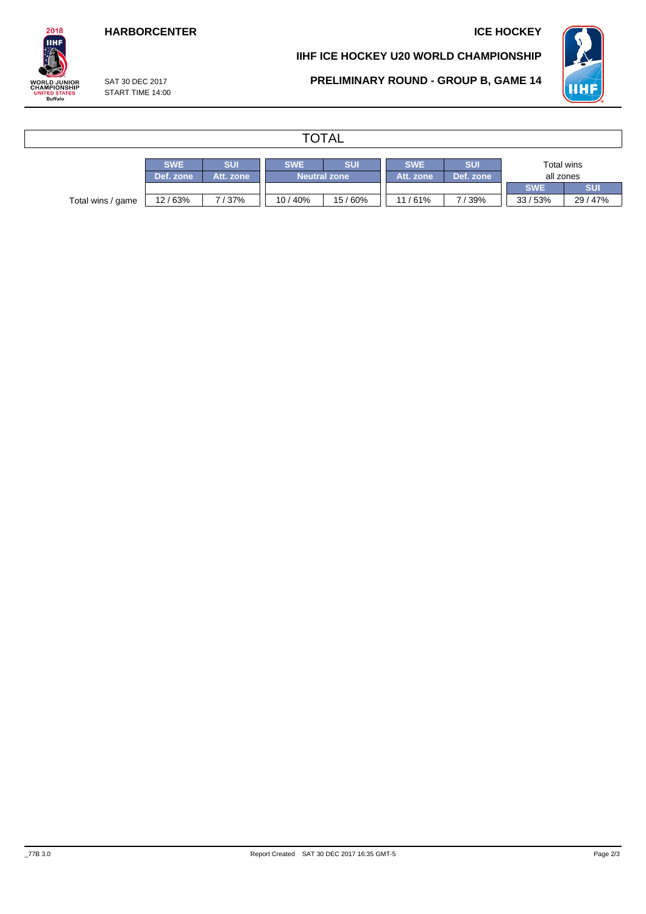## **HARBORCENTER ICE HOCKEY**

### **IIHF ICE HOCKEY U20 WORLD CHAMPIONSHIP**

**PRELIMINARY ROUND - GROUP B, GAME 14**



WORLD JUNIOR<br>CHAMPIONSHIP<br>UNITED STATES<br>Buffalo

 $2018$ **IIHF** 

> SAT 30 DEC 2017 START TIME 14:00

# **TOTAL**

|                   | <b>SWE</b> | <b>SUI</b> | <b>SWE</b>          | SUI    | <b>SWE</b> | SUI       |            | Total wins |
|-------------------|------------|------------|---------------------|--------|------------|-----------|------------|------------|
|                   | Def. zone  | Att. zone  | <b>Neutral zone</b> |        | Att. zone  | Def. zone | all zones  |            |
|                   |            |            |                     |        |            |           | <b>SWE</b> | <b>SUI</b> |
| Total wins / game | 12/63%     | 7/37%      | 10 / 40%            | 15/60% | 11/61%     | 7/39%     | 33/53%     | 29 / 47%   |